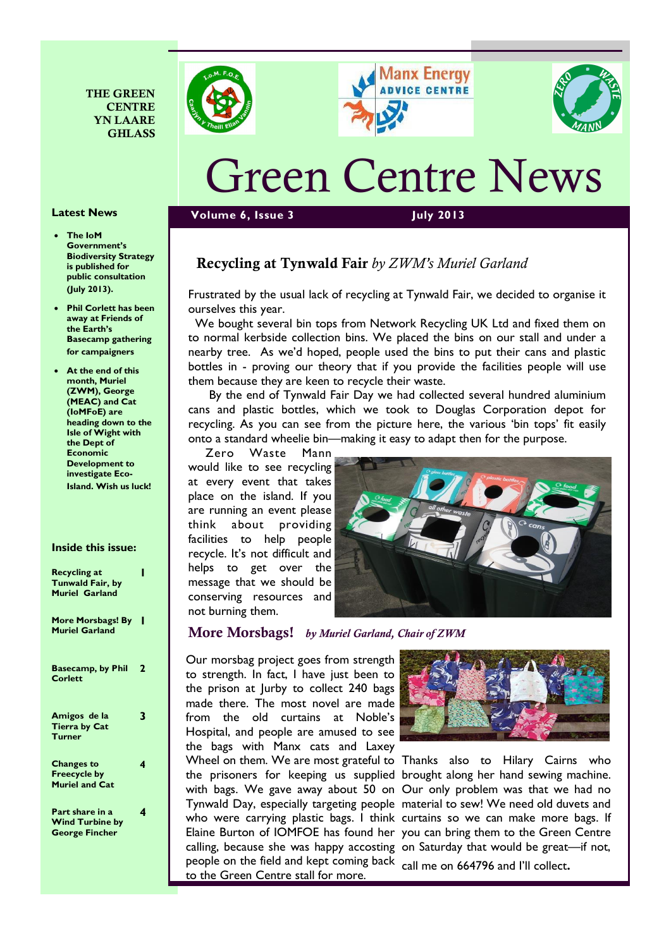





# Green Centre News

#### **Volume 6, Issue 3 July 2013**

## Recycling at Tynwald Fair *by ZWM's Muriel Garland*

Frustrated by the usual lack of recycling at Tynwald Fair, we decided to organise it ourselves this year.

 We bought several bin tops from Network Recycling UK Ltd and fixed them on to normal kerbside collection bins. We placed the bins on our stall and under a nearby tree. As we'd hoped, people used the bins to put their cans and plastic bottles in - proving our theory that if you provide the facilities people will use them because they are keen to recycle their waste.

 By the end of Tynwald Fair Day we had collected several hundred aluminium cans and plastic bottles, which we took to Douglas Corporation depot for recycling. As you can see from the picture here, the various 'bin tops' fit easily onto a standard wheelie bin—making it easy to adapt then for the purpose.

 Zero Waste Mann would like to see recycling at every event that takes place on the island. If you are running an event please think about providing facilities to help people recycle. It's not difficult and helps to get over the message that we should be conserving resources and not burning them.



#### More Morsbags! *by Muriel Garland, Chair of ZWM*

Our morsbag project goes from strength to strength. In fact, I have just been to the prison at Jurby to collect 240 bags made there. The most novel are made from the old curtains at Noble's Hospital, and people are amused to see the bags with Manx cats and Laxey Wheel on them. We are most grateful to Thanks also to Hilary Cairns who people on the field and kept coming back call me on 664796 and I'll collect.to the Green Centre stall for more.



the prisoners for keeping us supplied brought along her hand sewing machine. with bags. We gave away about 50 on Our only problem was that we had no Tynwald Day, especially targeting people material to sew! We need old duvets and who were carrying plastic bags. I think curtains so we can make more bags. If Elaine Burton of IOMFOE has found her you can bring them to the Green Centre calling, because she was happy accosting on Saturday that would be great—if not,

## **Latest News**

· **The IoM Government's Biodiversity Strategy is published for public consultation (July 2013).** 

THE GREEN **CENTRE** YN LAARE GHLASS

- · **Phil Corlett has been away at Friends of the Earth's Basecamp gathering for campaigners**
- · **At the end of this month, Muriel (ZWM), George (MEAC) and Cat (IoMFoE) are heading down to the Isle of Wight with the Dept of Economic Development to investigate Eco-Island. Wish us luck!**

#### **Inside this issue:**

| <b>Recycling at</b><br><b>Tunwald Fair, by</b><br><b>Muriel Garland</b> |   |
|-------------------------------------------------------------------------|---|
| More Morsbags! By<br><b>Muriel Garland</b>                              |   |
| <b>Basecamp, by Phil</b><br><b>Corlett</b>                              | 2 |
| Amigos de la<br><b>Tierra by Cat</b><br><b>Turner</b>                   | 3 |
| <b>Changes to</b><br><b>Freecycle by</b><br><b>Muriel and Cat</b>       | 4 |
| Part share in a<br><b>Wind Turbine by</b><br><b>George Fincher</b>      |   |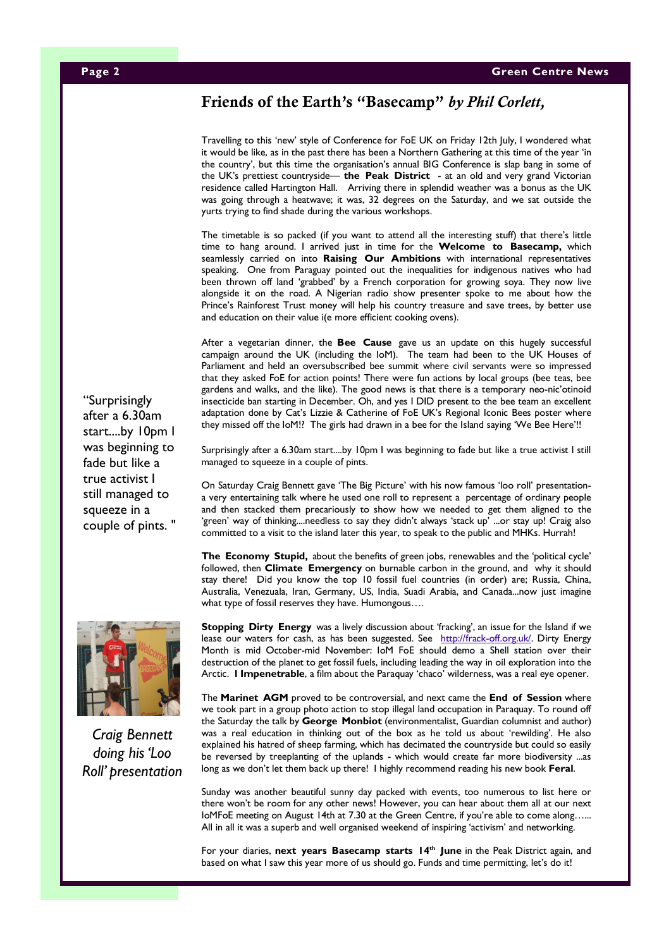## Friends of the Earth's "Basecamp" *by Phil Corlett,*

Travelling to this 'new' style of Conference for FoE UK on Friday 12th July, I wondered what it would be like, as in the past there has been a Northern Gathering at this time of the year 'in the country', but this time the organisation's annual BIG Conference is slap bang in some of the UK's prettiest countryside— **the Peak District** - at an old and very grand Victorian residence called Hartington Hall. Arriving there in splendid weather was a bonus as the UK was going through a heatwave; it was, 32 degrees on the Saturday, and we sat outside the yurts trying to find shade during the various workshops.

The timetable is so packed (if you want to attend all the interesting stuff) that there's little time to hang around. I arrived just in time for the **Welcome to Basecamp,** which seamlessly carried on into **Raising Our Ambitions** with international representatives speaking. One from Paraguay pointed out the inequalities for indigenous natives who had been thrown off land 'grabbed' by a French corporation for growing soya. They now live alongside it on the road. A Nigerian radio show presenter spoke to me about how the Prince's Rainforest Trust money will help his country treasure and save trees, by better use and education on their value i(e more efficient cooking ovens).

After a vegetarian dinner, the **Bee Cause** gave us an update on this hugely successful campaign around the UK (including the IoM). The team had been to the UK Houses of Parliament and held an oversubscribed bee summit where civil servants were so impressed that they asked FoE for action points! There were fun actions by local groups (bee teas, bee gardens and walks, and the like). The good news is that there is a temporary neo-nic'otinoid insecticide ban starting in December. Oh, and yes I DID present to the bee team an excellent adaptation done by Cat's Lizzie & Catherine of FoE UK's Regional Iconic Bees poster where they missed off the IoM!? The girls had drawn in a bee for the Island saying 'We Bee Here'!!

Surprisingly after a 6.30am start....by 10pm I was beginning to fade but like a true activist I still managed to squeeze in a couple of pints.

On Saturday Craig Bennett gave 'The Big Picture' with his now famous 'loo roll' presentationa very entertaining talk where he used one roll to represent a percentage of ordinary people and then stacked them precariously to show how we needed to get them aligned to the 'green' way of thinking....needless to say they didn't always 'stack up' ...or stay up! Craig also committed to a visit to the island later this year, to speak to the public and MHKs. Hurrah!

**The Economy Stupid,** about the benefits of green jobs, renewables and the 'political cycle' followed, then **Climate Emergency** on burnable carbon in the ground, and why it should stay there! Did you know the top 10 fossil fuel countries (in order) are; Russia, China, Australia, Venezuala, Iran, Germany, US, India, Suadi Arabia, and Canada...now just imagine what type of fossil reserves they have. Humongous….

**Stopping Dirty Energy** was a lively discussion about 'fracking', an issue for the Island if we lease our waters for cash, as has been suggested. See http://frack-off.org.uk/. Dirty Energy Month is mid October-mid November: IoM FoE should demo a Shell station over their destruction of the planet to get fossil fuels, including leading the way in oil exploration into the Arctic. **l Impenetrable**, a film about the Paraquay 'chaco' wilderness, was a real eye opener.

The **Marinet AGM** proved to be controversial, and next came the **End of Session** where we took part in a group photo action to stop illegal land occupation in Paraquay. To round off the Saturday the talk by **George Monbiot** (environmentalist, Guardian columnist and author) was a real education in thinking out of the box as he told us about 'rewilding'. He also explained his hatred of sheep farming, which has decimated the countryside but could so easily be reversed by treeplanting of the uplands - which would create far more biodiversity ...as long as we don't let them back up there! I highly recommend reading his new book **Feral**.

Sunday was another beautiful sunny day packed with events, too numerous to list here or there won't be room for any other news! However, you can hear about them all at our next IoMFoE meeting on August 14th at 7.30 at the Green Centre, if you're able to come along…... All in all it was a superb and well organised weekend of inspiring 'activism' and networking.

For your diaries, next years Basecamp starts 14<sup>th</sup> June in the Peak District again, and based on what I saw this year more of us should go. Funds and time permitting, let's do it!

"Surprisingly after a 6.30am start....by 10pm I was beginning to fade but like a true activist I still managed to squeeze in a couple of pints. "



*Roll' presentation*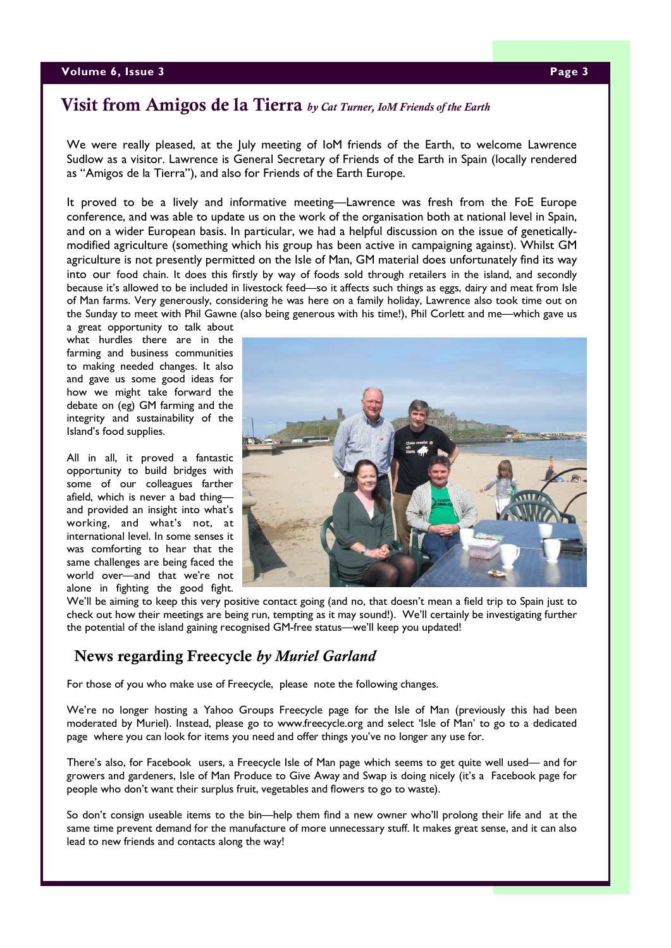#### **Volume 6, Issue 3 Page 3**

## Visit from Amigos de la Tierra *by Cat Turner, IoM Friends of the Earth*

We were really pleased, at the July meeting of IoM friends of the Earth, to welcome Lawrence Sudlow as a visitor. Lawrence is General Secretary of Friends of the Earth in Spain (locally rendered as "Amigos de la Tierra"), and also for Friends of the Earth Europe.

It proved to be a lively and informative meeting—Lawrence was fresh from the FoE Europe conference, and was able to update us on the work of the organisation both at national level in Spain, and on a wider European basis. In particular, we had a helpful discussion on the issue of geneticallymodified agriculture (something which his group has been active in campaigning against). Whilst GM agriculture is not presently permitted on the Isle of Man, GM material does unfortunately find its way into our food chain. It does this firstly by way of foods sold through retailers in the island, and secondly because it's allowed to be included in livestock feed—so it affects such things as eggs, dairy and meat from Isle of Man farms. Very generously, considering he was here on a family holiday, Lawrence also took time out on the Sunday to meet with Phil Gawne (also being generous with his time!), Phil Corlett and me—which gave us

a great opportunity to talk about what hurdles there are in the farming and business communities to making needed changes. It also and gave us some good ideas for how we might take forward the debate on (eg) GM farming and the integrity and sustainability of the Island's food supplies.

All in all, it proved a fantastic opportunity to build bridges with some of our colleagues farther afield, which is never a bad thing and provided an insight into what's working, and what's not, at international level. In some senses it was comforting to hear that the same challenges are being faced the world over—and that we're not alone in fighting the good fight.



We'll be aiming to keep this very positive contact going (and no, that doesn't mean a field trip to Spain just to check out how their meetings are being run, tempting as it may sound!). We'll certainly be investigating further the potential of the island gaining recognised GM-free status—we'll keep you updated!

## News regarding Freecycle *by Muriel Garland*

For those of you who make use of Freecycle, please note the following changes.

We're no longer hosting a Yahoo Groups Freecycle page for the Isle of Man (previously this had been moderated by Muriel). Instead, please go to www.freecycle.org and select 'Isle of Man' to go to a dedicated page where you can look for items you need and offer things you've no longer any use for.

There's also, for Facebook users, a Freecycle Isle of Man page which seems to get quite well used— and for growers and gardeners, Isle of Man Produce to Give Away and Swap is doing nicely (it's a Facebook page for people who don't want their surplus fruit, vegetables and flowers to go to waste).

So don't consign useable items to the bin—help them find a new owner who'll prolong their life and at the same time prevent demand for the manufacture of more unnecessary stuff. It makes great sense, and it can also lead to new friends and contacts along the way!